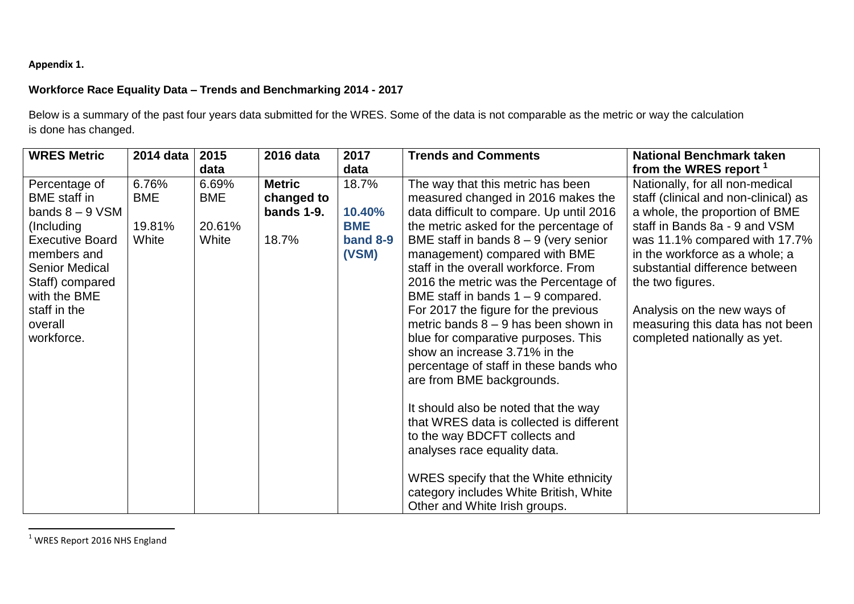## **Appendix 1.**

## **Workforce Race Equality Data – Trends and Benchmarking 2014 - 2017**

Below is a summary of the past four years data submitted for the WRES. Some of the data is not comparable as the metric or way the calculation is done has changed.

| <b>WRES Metric</b>                                                                                                                                                                                                    | 2014 data                              | 2015                                   | 2016 data                                             | 2017                                               | <b>Trends and Comments</b>                                                                                                                                                                                                                                                                                                                                                                                                                                                                                                                                                                                                                                                                                                                                                                                                                                                   | <b>National Benchmark taken</b>                                                                                                                                                                                                                                                                                                                                        |
|-----------------------------------------------------------------------------------------------------------------------------------------------------------------------------------------------------------------------|----------------------------------------|----------------------------------------|-------------------------------------------------------|----------------------------------------------------|------------------------------------------------------------------------------------------------------------------------------------------------------------------------------------------------------------------------------------------------------------------------------------------------------------------------------------------------------------------------------------------------------------------------------------------------------------------------------------------------------------------------------------------------------------------------------------------------------------------------------------------------------------------------------------------------------------------------------------------------------------------------------------------------------------------------------------------------------------------------------|------------------------------------------------------------------------------------------------------------------------------------------------------------------------------------------------------------------------------------------------------------------------------------------------------------------------------------------------------------------------|
|                                                                                                                                                                                                                       |                                        | data                                   |                                                       | data                                               |                                                                                                                                                                                                                                                                                                                                                                                                                                                                                                                                                                                                                                                                                                                                                                                                                                                                              | from the WRES report <sup>1</sup>                                                                                                                                                                                                                                                                                                                                      |
| Percentage of<br><b>BME</b> staff in<br>bands $8 - 9$ VSM<br>(Including<br><b>Executive Board</b><br>members and<br><b>Senior Medical</b><br>Staff) compared<br>with the BME<br>staff in the<br>overall<br>workforce. | 6.76%<br><b>BME</b><br>19.81%<br>White | 6.69%<br><b>BME</b><br>20.61%<br>White | <b>Metric</b><br>changed to<br>bands $1-9$ .<br>18.7% | 18.7%<br>10.40%<br><b>BME</b><br>band 8-9<br>(VSM) | The way that this metric has been<br>measured changed in 2016 makes the<br>data difficult to compare. Up until 2016<br>the metric asked for the percentage of<br>BME staff in bands $8 - 9$ (very senior<br>management) compared with BME<br>staff in the overall workforce. From<br>2016 the metric was the Percentage of<br>BME staff in bands $1 - 9$ compared.<br>For 2017 the figure for the previous<br>metric bands $8 - 9$ has been shown in<br>blue for comparative purposes. This<br>show an increase 3.71% in the<br>percentage of staff in these bands who<br>are from BME backgrounds.<br>It should also be noted that the way<br>that WRES data is collected is different<br>to the way BDCFT collects and<br>analyses race equality data.<br>WRES specify that the White ethnicity<br>category includes White British, White<br>Other and White Irish groups. | Nationally, for all non-medical<br>staff (clinical and non-clinical) as<br>a whole, the proportion of BME<br>staff in Bands 8a - 9 and VSM<br>was 11.1% compared with 17.7%<br>in the workforce as a whole; a<br>substantial difference between<br>the two figures.<br>Analysis on the new ways of<br>measuring this data has not been<br>completed nationally as yet. |

 $1$  WRES Report 2016 NHS England

 $\overline{a}$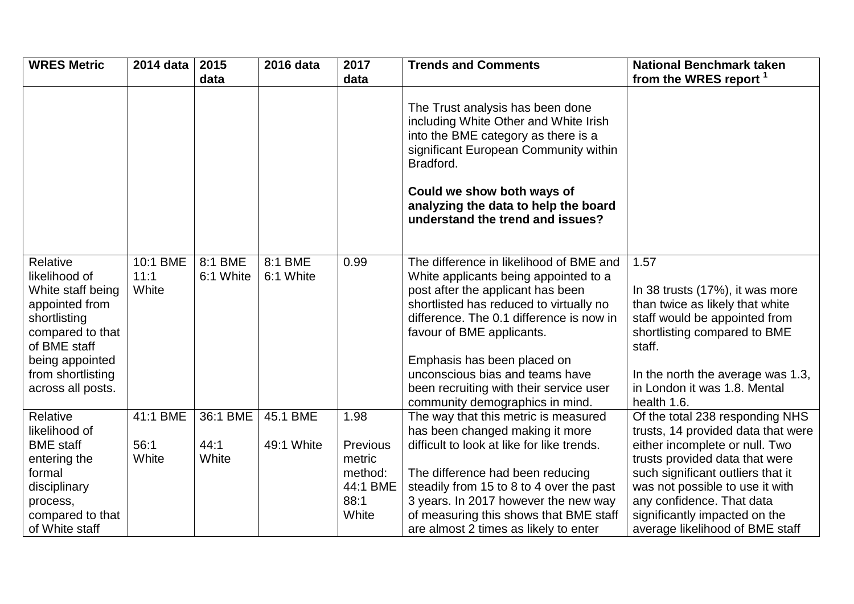| <b>WRES Metric</b>                                                                                                                                                                | 2014 data                 | 2015<br>data         | 2016 data              | 2017<br>data                                   | <b>Trends and Comments</b>                                                                                                                                                                                                                                                                                                                                                                | <b>National Benchmark taken</b><br>from the WRES report <sup>1</sup>                                                                                                                                                                      |
|-----------------------------------------------------------------------------------------------------------------------------------------------------------------------------------|---------------------------|----------------------|------------------------|------------------------------------------------|-------------------------------------------------------------------------------------------------------------------------------------------------------------------------------------------------------------------------------------------------------------------------------------------------------------------------------------------------------------------------------------------|-------------------------------------------------------------------------------------------------------------------------------------------------------------------------------------------------------------------------------------------|
|                                                                                                                                                                                   |                           |                      |                        |                                                | The Trust analysis has been done<br>including White Other and White Irish<br>into the BME category as there is a<br>significant European Community within<br>Bradford.<br>Could we show both ways of<br>analyzing the data to help the board<br>understand the trend and issues?                                                                                                          |                                                                                                                                                                                                                                           |
| Relative<br>likelihood of<br>White staff being<br>appointed from<br>shortlisting<br>compared to that<br>of BME staff<br>being appointed<br>from shortlisting<br>across all posts. | 10:1 BME<br>11:1<br>White | 8:1 BME<br>6:1 White | 8:1 BME<br>6:1 White   | 0.99                                           | The difference in likelihood of BME and<br>White applicants being appointed to a<br>post after the applicant has been<br>shortlisted has reduced to virtually no<br>difference. The 0.1 difference is now in<br>favour of BME applicants.<br>Emphasis has been placed on<br>unconscious bias and teams have<br>been recruiting with their service user<br>community demographics in mind. | 1.57<br>In 38 trusts (17%), it was more<br>than twice as likely that white<br>staff would be appointed from<br>shortlisting compared to BME<br>staff.<br>In the north the average was 1.3,<br>in London it was 1.8. Mental<br>health 1.6. |
| Relative<br>likelihood of<br><b>BME</b> staff                                                                                                                                     | 41:1 BME<br>56:1          | 36:1 BME<br>44:1     | 45.1 BME<br>49:1 White | 1.98<br>Previous                               | The way that this metric is measured<br>has been changed making it more<br>difficult to look at like for like trends.                                                                                                                                                                                                                                                                     | Of the total 238 responding NHS<br>trusts, 14 provided data that were<br>either incomplete or null. Two                                                                                                                                   |
| entering the<br>formal<br>disciplinary<br>process,<br>compared to that<br>of White staff                                                                                          | White                     | White                |                        | metric<br>method:<br>44:1 BME<br>88:1<br>White | The difference had been reducing<br>steadily from 15 to 8 to 4 over the past<br>3 years. In 2017 however the new way<br>of measuring this shows that BME staff<br>are almost 2 times as likely to enter                                                                                                                                                                                   | trusts provided data that were<br>such significant outliers that it<br>was not possible to use it with<br>any confidence. That data<br>significantly impacted on the<br>average likelihood of BME staff                                   |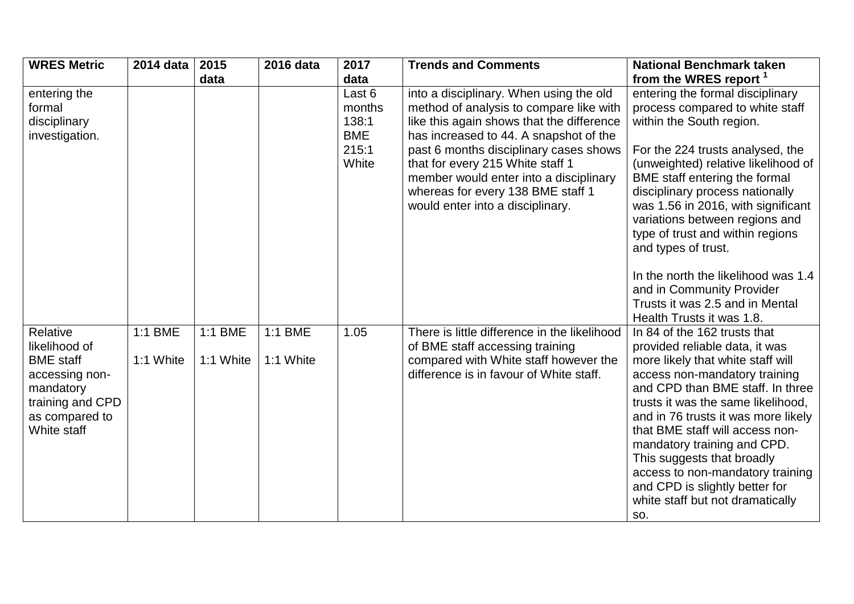| <b>WRES Metric</b>                                                                                                                | 2014 data            | 2015                 | 2016 data            | 2017                                                      | <b>Trends and Comments</b>                                                                                                                                                                                                                                                                                                                                                 | <b>National Benchmark taken</b>                                                                                                                                                                                                                                                                                                                                                                                                                                                                     |
|-----------------------------------------------------------------------------------------------------------------------------------|----------------------|----------------------|----------------------|-----------------------------------------------------------|----------------------------------------------------------------------------------------------------------------------------------------------------------------------------------------------------------------------------------------------------------------------------------------------------------------------------------------------------------------------------|-----------------------------------------------------------------------------------------------------------------------------------------------------------------------------------------------------------------------------------------------------------------------------------------------------------------------------------------------------------------------------------------------------------------------------------------------------------------------------------------------------|
|                                                                                                                                   |                      | data                 |                      | data                                                      |                                                                                                                                                                                                                                                                                                                                                                            | from the WRES report <sup>1</sup>                                                                                                                                                                                                                                                                                                                                                                                                                                                                   |
| entering the<br>formal<br>disciplinary<br>investigation.                                                                          |                      |                      |                      | Last 6<br>months<br>138:1<br><b>BME</b><br>215:1<br>White | into a disciplinary. When using the old<br>method of analysis to compare like with<br>like this again shows that the difference<br>has increased to 44. A snapshot of the<br>past 6 months disciplinary cases shows<br>that for every 215 White staff 1<br>member would enter into a disciplinary<br>whereas for every 138 BME staff 1<br>would enter into a disciplinary. | entering the formal disciplinary<br>process compared to white staff<br>within the South region.<br>For the 224 trusts analysed, the<br>(unweighted) relative likelihood of<br>BME staff entering the formal<br>disciplinary process nationally<br>was 1.56 in 2016, with significant<br>variations between regions and<br>type of trust and within regions<br>and types of trust.<br>In the north the likelihood was 1.4<br>and in Community Provider<br>Trusts it was 2.5 and in Mental            |
| Relative<br>likelihood of<br><b>BME</b> staff<br>accessing non-<br>mandatory<br>training and CPD<br>as compared to<br>White staff | 1:1 BME<br>1:1 White | 1:1 BME<br>1:1 White | 1:1 BME<br>1:1 White | 1.05                                                      | There is little difference in the likelihood<br>of BME staff accessing training<br>compared with White staff however the<br>difference is in favour of White staff.                                                                                                                                                                                                        | Health Trusts it was 1.8.<br>In 84 of the 162 trusts that<br>provided reliable data, it was<br>more likely that white staff will<br>access non-mandatory training<br>and CPD than BME staff. In three<br>trusts it was the same likelihood,<br>and in 76 trusts it was more likely<br>that BME staff will access non-<br>mandatory training and CPD.<br>This suggests that broadly<br>access to non-mandatory training<br>and CPD is slightly better for<br>white staff but not dramatically<br>SO. |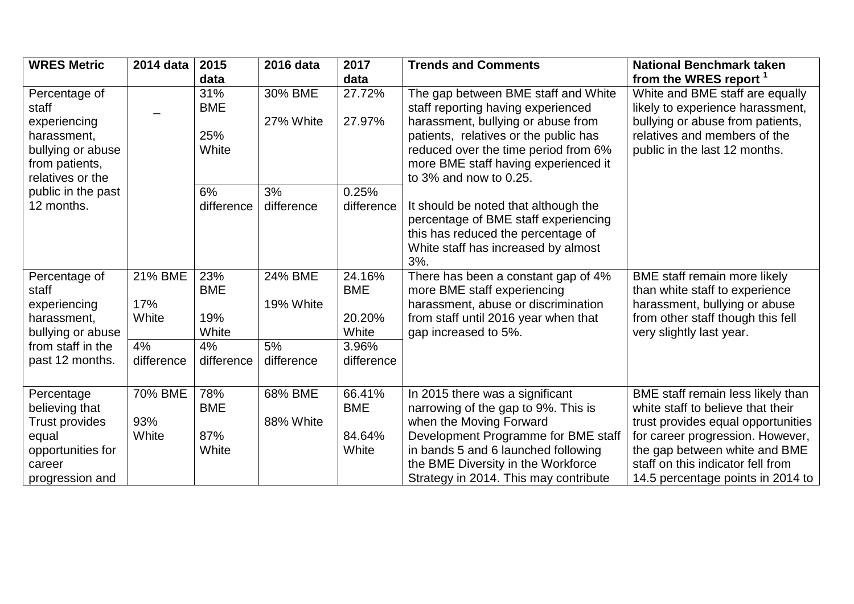| <b>WRES Metric</b>                                                         | 2014 data               | 2015                              | 2016 data            | 2017                                    | <b>Trends and Comments</b>                                                                                                                                                | <b>National Benchmark taken</b>                                                                                                                                  |
|----------------------------------------------------------------------------|-------------------------|-----------------------------------|----------------------|-----------------------------------------|---------------------------------------------------------------------------------------------------------------------------------------------------------------------------|------------------------------------------------------------------------------------------------------------------------------------------------------------------|
|                                                                            |                         | data                              |                      | data                                    |                                                                                                                                                                           | from the WRES report <sup>1</sup>                                                                                                                                |
| Percentage of<br>staff<br>experiencing                                     |                         | 31%<br><b>BME</b>                 | 30% BME<br>27% White | 27.72%<br>27.97%                        | The gap between BME staff and White<br>staff reporting having experienced<br>harassment, bullying or abuse from                                                           | White and BME staff are equally<br>likely to experience harassment,<br>bullying or abuse from patients,                                                          |
| harassment,<br>bullying or abuse<br>from patients,<br>relatives or the     |                         | 25%<br>White                      |                      |                                         | patients, relatives or the public has<br>reduced over the time period from 6%<br>more BME staff having experienced it<br>to $3\%$ and now to 0.25.                        | relatives and members of the<br>public in the last 12 months.                                                                                                    |
| public in the past<br>12 months.                                           |                         | 6%<br>difference                  | 3%<br>difference     | 0.25%<br>difference                     | It should be noted that although the<br>percentage of BME staff experiencing<br>this has reduced the percentage of<br>White staff has increased by almost<br>3%.          |                                                                                                                                                                  |
| Percentage of<br>staff<br>experiencing<br>harassment,<br>bullying or abuse | 21% BME<br>17%<br>White | 23%<br><b>BME</b><br>19%<br>White | 24% BME<br>19% White | 24.16%<br><b>BME</b><br>20.20%<br>White | There has been a constant gap of 4%<br>more BME staff experiencing<br>harassment, abuse or discrimination<br>from staff until 2016 year when that<br>gap increased to 5%. | BME staff remain more likely<br>than white staff to experience<br>harassment, bullying or abuse<br>from other staff though this fell<br>very slightly last year. |
| from staff in the<br>past 12 months.                                       | 4%<br>difference        | 4%<br>difference                  | 5%<br>difference     | 3.96%<br>difference                     |                                                                                                                                                                           |                                                                                                                                                                  |
| Percentage<br>believing that<br><b>Trust provides</b>                      | 70% BME<br>93%          | 78%<br><b>BME</b>                 | 68% BME<br>88% White | 66.41%<br><b>BME</b>                    | In 2015 there was a significant<br>narrowing of the gap to 9%. This is<br>when the Moving Forward                                                                         | BME staff remain less likely than<br>white staff to believe that their<br>trust provides equal opportunities                                                     |
| equal<br>opportunities for<br>career<br>progression and                    | White                   | 87%<br>White                      |                      | 84.64%<br>White                         | Development Programme for BME staff<br>in bands 5 and 6 launched following<br>the BME Diversity in the Workforce<br>Strategy in 2014. This may contribute                 | for career progression. However,<br>the gap between white and BME<br>staff on this indicator fell from<br>14.5 percentage points in 2014 to                      |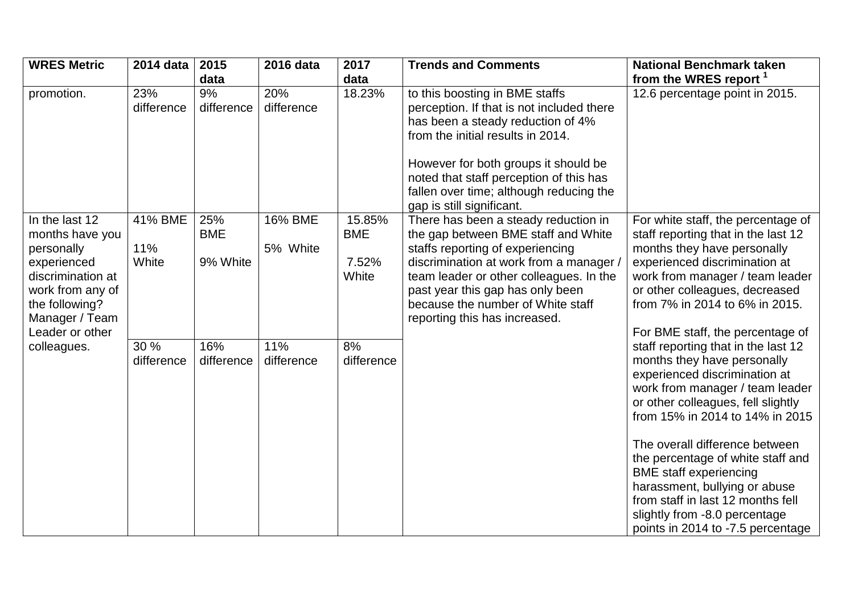| <b>WRES Metric</b>                                                                                                                                             | 2014 data               | 2015                          | 2016 data           | 2017                                   | <b>Trends and Comments</b>                                                                                                                                                                                                                                                                                       | <b>National Benchmark taken</b>                                                                                                                                                                                                                                                                                                                                                                                                                                     |
|----------------------------------------------------------------------------------------------------------------------------------------------------------------|-------------------------|-------------------------------|---------------------|----------------------------------------|------------------------------------------------------------------------------------------------------------------------------------------------------------------------------------------------------------------------------------------------------------------------------------------------------------------|---------------------------------------------------------------------------------------------------------------------------------------------------------------------------------------------------------------------------------------------------------------------------------------------------------------------------------------------------------------------------------------------------------------------------------------------------------------------|
|                                                                                                                                                                |                         | data                          |                     | data                                   |                                                                                                                                                                                                                                                                                                                  | from the WRES report <sup>1</sup>                                                                                                                                                                                                                                                                                                                                                                                                                                   |
| promotion.                                                                                                                                                     | 23%<br>difference       | 9%<br>difference              | 20%<br>difference   | 18.23%                                 | to this boosting in BME staffs<br>perception. If that is not included there<br>has been a steady reduction of 4%<br>from the initial results in 2014.<br>However for both groups it should be<br>noted that staff perception of this has<br>fallen over time; although reducing the<br>gap is still significant. | 12.6 percentage point in 2015.                                                                                                                                                                                                                                                                                                                                                                                                                                      |
| In the last 12<br>months have you<br>personally<br>experienced<br>discrimination at<br>work from any of<br>the following?<br>Manager / Team<br>Leader or other | 41% BME<br>11%<br>White | 25%<br><b>BME</b><br>9% White | 16% BME<br>5% White | 15.85%<br><b>BME</b><br>7.52%<br>White | There has been a steady reduction in<br>the gap between BME staff and White<br>staffs reporting of experiencing<br>discrimination at work from a manager.<br>team leader or other colleagues. In the<br>past year this gap has only been<br>because the number of White staff<br>reporting this has increased.   | For white staff, the percentage of<br>staff reporting that in the last 12<br>months they have personally<br>experienced discrimination at<br>work from manager / team leader<br>or other colleagues, decreased<br>from 7% in 2014 to 6% in 2015.<br>For BME staff, the percentage of                                                                                                                                                                                |
| colleagues.                                                                                                                                                    | 30 %<br>difference      | 16%<br>difference             | 11%<br>difference   | 8%<br>difference                       |                                                                                                                                                                                                                                                                                                                  | staff reporting that in the last 12<br>months they have personally<br>experienced discrimination at<br>work from manager / team leader<br>or other colleagues, fell slightly<br>from 15% in 2014 to 14% in 2015<br>The overall difference between<br>the percentage of white staff and<br><b>BME</b> staff experiencing<br>harassment, bullying or abuse<br>from staff in last 12 months fell<br>slightly from -8.0 percentage<br>points in 2014 to -7.5 percentage |